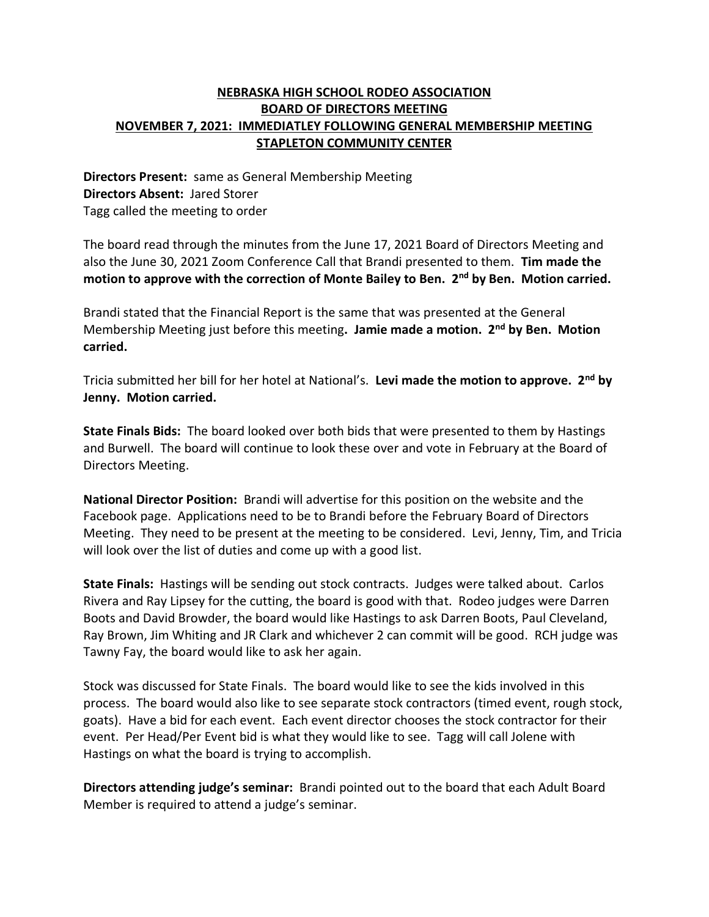## **NEBRASKA HIGH SCHOOL RODEO ASSOCIATION BOARD OF DIRECTORS MEETING NOVEMBER 7, 2021: IMMEDIATLEY FOLLOWING GENERAL MEMBERSHIP MEETING STAPLETON COMMUNITY CENTER**

**Directors Present:** same as General Membership Meeting **Directors Absent:** Jared Storer Tagg called the meeting to order

The board read through the minutes from the June 17, 2021 Board of Directors Meeting and also the June 30, 2021 Zoom Conference Call that Brandi presented to them. **Tim made the motion to approve with the correction of Monte Bailey to Ben. 2nd by Ben. Motion carried.**

Brandi stated that the Financial Report is the same that was presented at the General Membership Meeting just before this meeting**. Jamie made a motion. 2nd by Ben. Motion carried.**

Tricia submitted her bill for her hotel at National's. **Levi made the motion to approve. 2nd by Jenny. Motion carried.**

**State Finals Bids:** The board looked over both bids that were presented to them by Hastings and Burwell. The board will continue to look these over and vote in February at the Board of Directors Meeting.

**National Director Position:** Brandi will advertise for this position on the website and the Facebook page. Applications need to be to Brandi before the February Board of Directors Meeting. They need to be present at the meeting to be considered. Levi, Jenny, Tim, and Tricia will look over the list of duties and come up with a good list.

**State Finals:** Hastings will be sending out stock contracts. Judges were talked about. Carlos Rivera and Ray Lipsey for the cutting, the board is good with that. Rodeo judges were Darren Boots and David Browder, the board would like Hastings to ask Darren Boots, Paul Cleveland, Ray Brown, Jim Whiting and JR Clark and whichever 2 can commit will be good. RCH judge was Tawny Fay, the board would like to ask her again.

Stock was discussed for State Finals. The board would like to see the kids involved in this process. The board would also like to see separate stock contractors (timed event, rough stock, goats). Have a bid for each event. Each event director chooses the stock contractor for their event. Per Head/Per Event bid is what they would like to see. Tagg will call Jolene with Hastings on what the board is trying to accomplish.

**Directors attending judge's seminar:** Brandi pointed out to the board that each Adult Board Member is required to attend a judge's seminar.